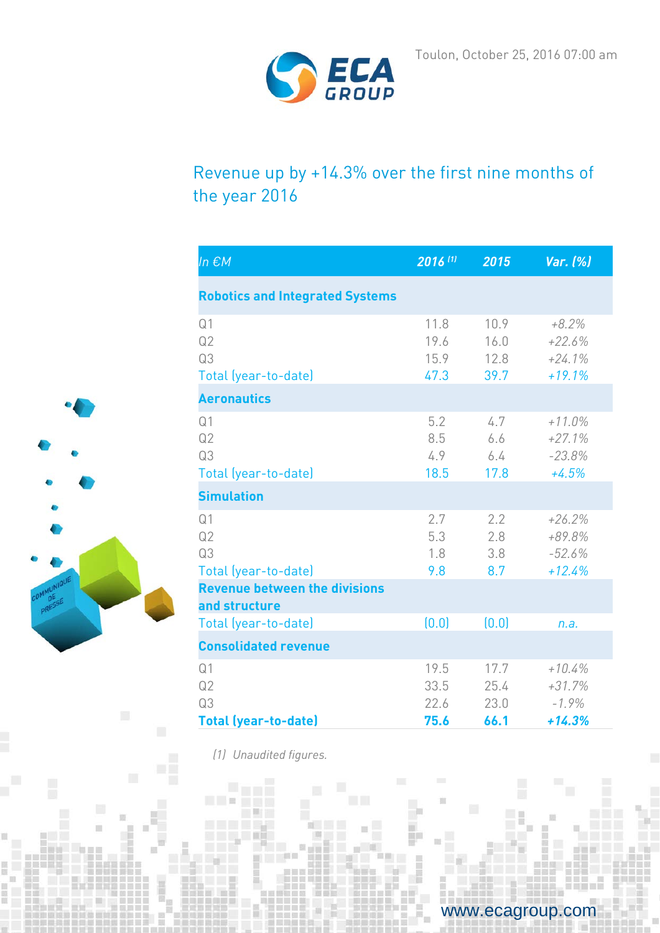

# Revenue up by +14.3% over the first nine months of the year 2016

| In $\epsilon$ M                                           | 2016 (1)                     | 2015                         | Var. (%)                                     |
|-----------------------------------------------------------|------------------------------|------------------------------|----------------------------------------------|
| <b>Robotics and Integrated Systems</b>                    |                              |                              |                                              |
| Q <sub>1</sub><br>Q2<br>Q3<br>Total (year-to-date)        | 11.8<br>19.6<br>15.9<br>47.3 | 10.9<br>16.0<br>12.8<br>39.7 | $+8.2%$<br>$+22.6%$<br>$+24.1%$<br>$+19.1%$  |
| <b>Aeronautics</b>                                        |                              |                              |                                              |
| Q <sub>1</sub><br>Q2<br>Q3<br>Total (year-to-date)        | 5.2<br>8.5<br>4.9<br>18.5    | 4.7<br>6.6<br>6.4<br>17.8    | $+11.0\%$<br>$+27.1%$<br>$-23.8%$<br>$+4.5%$ |
| <b>Simulation</b>                                         |                              |                              |                                              |
| Q <sub>1</sub><br>Q2<br>Q3<br>Total (year-to-date)        | 2.7<br>5.3<br>1.8<br>9.8     | 2.2<br>2.8<br>3.8<br>8.7     | $+26.2%$<br>+89.8%<br>$-52.6%$<br>$+12.4%$   |
| <b>Revenue between the divisions</b>                      |                              |                              |                                              |
| and structure<br>Total (year-to-date)                     | (0.0)                        | (0.0)                        | n.a.                                         |
| <b>Consolidated revenue</b>                               |                              |                              |                                              |
| Q <sub>1</sub><br>Q2<br>Q3<br><b>Total (year-to-date)</b> | 19.5<br>33.5<br>22.6<br>75.6 | 17.7<br>25.4<br>23.0<br>66.1 | $+10.4%$<br>$+31.7%$<br>$-1.9%$<br>$+14.3%$  |

*(1) Unaudited figures.*

 $\Box$ 



www.ecagroup.com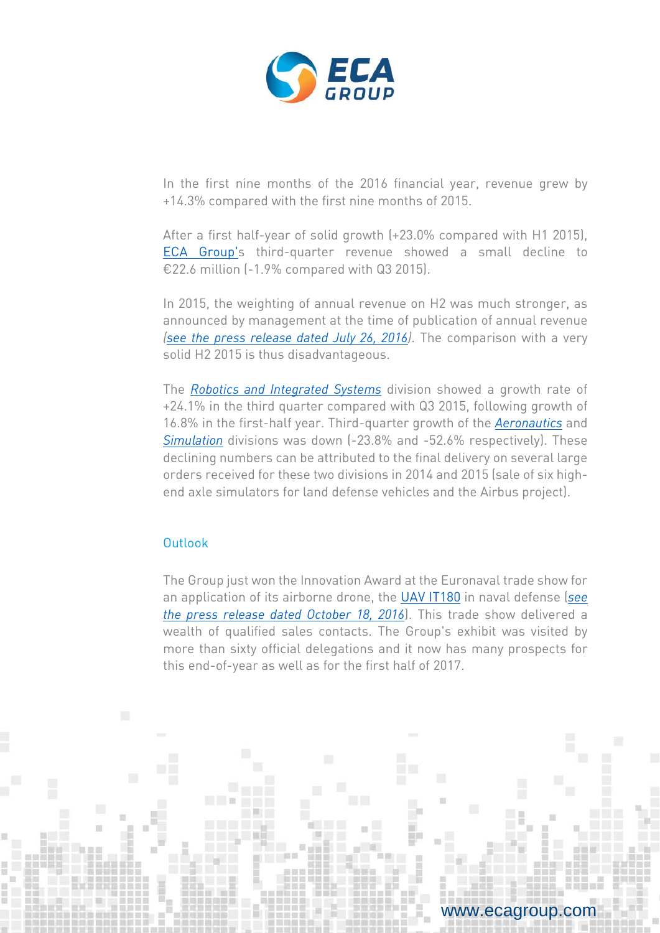

In the first nine months of the 2016 financial year, revenue grew by +14.3% compared with the first nine months of 2015.

After a first half-year of solid growth (+23.0% compared with H1 2015), [ECA Group's](http://www.ecagroup.com/) third-quarter revenue showed a small decline to €22.6 million (-1.9% compared with Q3 2015).

In 2015, the weighting of annual revenue on H2 was much stronger, as announced by management at the time of publication of annual revenue *[\(see the press release dated July 26, 2016\)](http://www.ecagroup.com/en/financial/growth-half-year-revenue-230-vs-h1-2015-driven-very-dynamic-q2-317)*. The comparison with a very solid H2 2015 is thus disadvantageous.

The *[Robotics and Integrated Systems](http://www.ecagroup.com/en/robotic-and-integrated-systems)* division showed a growth rate of +24.1% in the third quarter compared with Q3 2015, following growth of 16.8% in the first-half year. Third-quarter growth of the *[Aeronautics](http://www.ecagroup.com/en/aerospace)* an[d](http://www.ecagroup.com/en/training-simulation) *[Simulation](http://www.ecagroup.com/en/training-simulation)* divisions was down (-23.8% and -52.6% respectively). These declining numbers can be attributed to the final delivery on several large orders received for these two divisions in 2014 and 2015 (sale of six highend axle simulators for land defense vehicles and the Airbus project).

### Outlook

The Group just won the Innovation Award at the Euronaval trade show for an application of its airborne drone, the UAV [IT180](http://www.ecagroup.com/en/find-your-eca-solutions/uav) in naval defense (*[see](http://www.ecagroup.com/en/financial/eca-group-receives-innovation-trophy-euronaval-tradeshow-sterna-application-uav-it180)  the press [release dated October 18, 2016](http://www.ecagroup.com/en/financial/eca-group-receives-innovation-trophy-euronaval-tradeshow-sterna-application-uav-it180)*). This trade show delivered a wealth of qualified sales contacts. The Group's exhibit was visited by more than sixty official delegations and it now has many prospects for this end-of-year as well as for the first half of 2017.

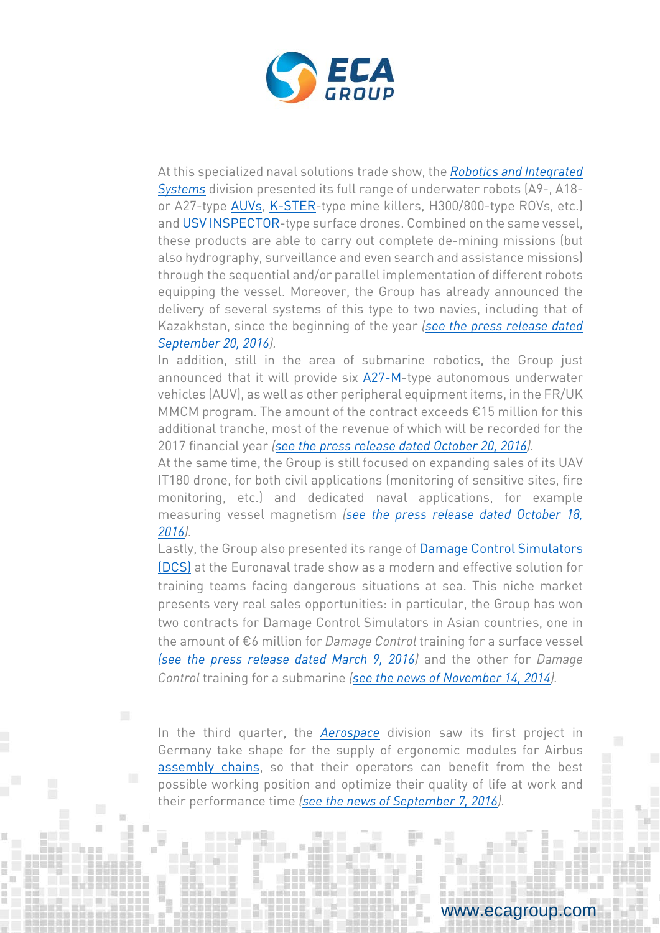

At this specialized naval solutions trade show, the *[Robotics and Integrated](http://www.ecagroup.com/en/robotic-and-integrated-systems)  [Systems](http://www.ecagroup.com/en/robotic-and-integrated-systems)* division presented its full range of underwater robots (A9-, A18 or A27-type [AUVs,](http://www.ecagroup.com/en/find-your-eca-solutions/auv) [K-STER-](http://www.ecagroup.com/en/solutions/k-ster-c)type mine killers, H300/800-type ROVs, etc.) an[d USV INSPECTOR-](http://www.ecagroup.com/en/find-your-eca-solutions/usv)type surface drones. Combined on the same vessel, these products are able to carry out complete de-mining missions (but also hydrography, surveillance and even search and assistance missions) through the sequential and/or parallel implementation of different robots equipping the vessel. Moreover, the Group has already announced the delivery of several systems of this type to two navies, including that of Kazakhstan, since the beginning of the year *[\(see the press release dated](http://www.ecagroup.com/en/financial/delivery-first-robotic-unmanned-mine-counter-measures-mcm-systems)  [September 20, 2016\)](http://www.ecagroup.com/en/financial/delivery-first-robotic-unmanned-mine-counter-measures-mcm-systems).* 

In addition, still in the area of submarine robotics, the Group just announced that it will provide six [A27-M-](http://www.ecagroup.com/en/solutions/a27-m-auv-autonomous-underwater-vehicle)type autonomous underwater vehicles (AUV), as well as other peripheral equipment items, in the FR/UK MMCM program. The amount of the contract exceeds €15 million for this additional tranche, most of the revenue of which will be recorded for the 2017 financial year *[\(see the press release dated October 20, 2016\)](http://www.ecagroup.com/en/financial/eca-group-confirms-important-auv-order-fruk-underwater-mine-countermeasure-programme).*

At the same time, the Group is still focused on expanding sales of its UAV IT180 drone, for both civil applications (monitoring of sensitive sites, fire monitoring, etc.) and dedicated naval applications, for example measuring vessel magnetism *[\(see the press release dated October 18,](http://www.ecagroup.com/en/financial/eca-group-receives-innovation-trophy-euronaval-tradeshow-sterna-application-uav-it180)  [2016\)](http://www.ecagroup.com/en/financial/eca-group-receives-innovation-trophy-euronaval-tradeshow-sterna-application-uav-it180).*

Lastly, the Group also presented its range of [Damage Control Simulators](http://www.ecagroup.com/en/solutions/damage-control-simulator)  [\(DCS\)](http://www.ecagroup.com/en/solutions/damage-control-simulator) at the Euronaval trade show as a modern and effective solution for training teams facing dangerous situations at sea. This niche market presents very real sales opportunities: in particular, the Group has won two contracts for Damage Control Simulators in Asian countries, one in the amount of €6 million for *Damage Control* training for a surface vessel *[\(see the press release dated March 9, 2016\)](http://www.ecagroup.com/en/financial/eca-group-announces-three-simulator-contracts-asia-more-eu6m)* and the other for *Damage Control* training for a submarine *(see [the news of November 14, 2014\)](http://www.ecagroup.com/en/business/eca-group-announces-sale-several-naval-simulators-major-asian-navy).*

In the third quarter, the *[Aerospace](http://www.ecagroup.com/en/aerospace)* division saw its first project in Germany take shape for the supply of ergonomic modules for Airbus [assembly chains,](http://www.ecagroup.com/en/find-your-eca-solutions/assembly-lines) so that their operators can benefit from the best possible working position and optimize their quality of life at work and their performance time *[\(see the news of September 7, 2016\)](http://www.ecagroup.com/en/business/ergonomics-modules-assembly-lines-airbus-germany).*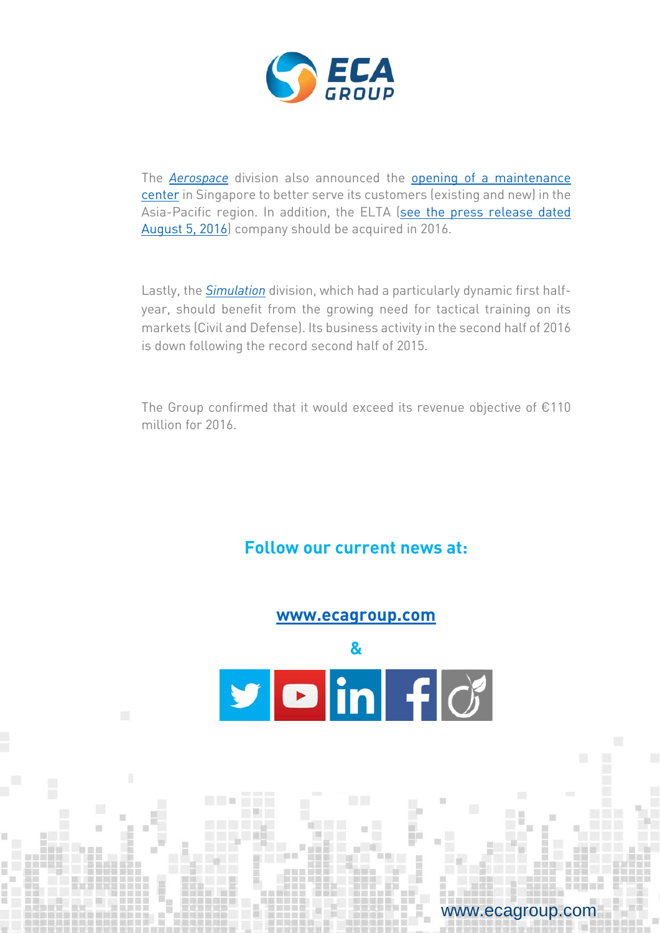

The *[Aerospace](http://www.ecagroup.com/en/aerospace)* division also announced the [opening of a maintenance](http://www.ecagroup.com/en/corporate/eca-group-aerospace-announces-opening-its-gse-repair-and-calibration-facility-singapore)  [center](http://www.ecagroup.com/en/corporate/eca-group-aerospace-announces-opening-its-gse-repair-and-calibration-facility-singapore) in Singapore to better serve its customers (existing and new) in the Asia-Pacific region. In addition, the ELTA [\(see the press release dated](http://www.ecagroup.com/en/financial/eca-sign-unilateral-commitment-purchase-elta-company)  [August 5, 2016\)](http://www.ecagroup.com/en/financial/eca-sign-unilateral-commitment-purchase-elta-company) company should be acquired in 2016.

Lastly, the *[Simulation](http://www.ecagroup.com/en/training-simulation)* division, which had a particularly dynamic first halfyear, should benefit from the growing need for tactical training on its markets (Civil and Defense). Its business activity in the second half of 2016 is down following the record second half of 2015.

The Group confirmed that it would exceed its revenue objective of €110 million for 2016.

## **Follow our current news at:**



www.ecagroup.com